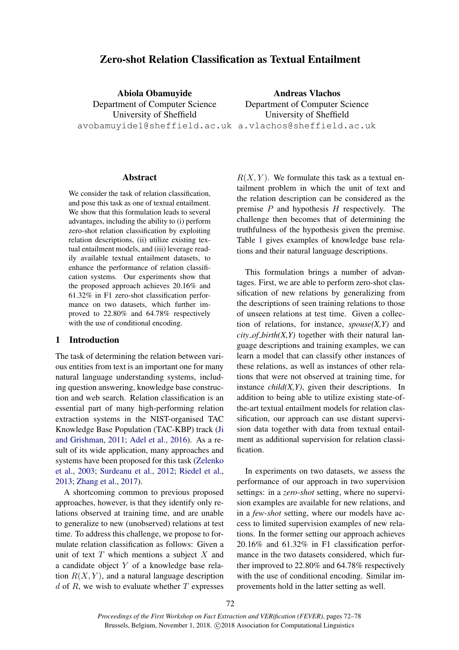# Zero-shot Relation Classification as Textual Entailment

Abiola Obamuyide Department of Computer Science University of Sheffield avobamuyide1@sheffield.ac.uk a.vlachos@sheffield.ac.uk Andreas Vlachos Department of Computer Science University of Sheffield

### Abstract

We consider the task of relation classification, and pose this task as one of textual entailment. We show that this formulation leads to several advantages, including the ability to (i) perform zero-shot relation classification by exploiting relation descriptions, (ii) utilize existing textual entailment models, and (iii) leverage readily available textual entailment datasets, to enhance the performance of relation classification systems. Our experiments show that the proposed approach achieves 20.16% and 61.32% in F1 zero-shot classification performance on two datasets, which further improved to 22.80% and 64.78% respectively with the use of conditional encoding.

# 1 Introduction

The task of determining the relation between various entities from text is an important one for many natural language understanding systems, including question answering, knowledge base construction and web search. Relation classification is an essential part of many high-performing relation extraction systems in the NIST-organised TAC Knowledge Base Population (TAC-KBP) track [\(Ji](#page-5-0) [and Grishman,](#page-5-0) [2011;](#page-5-0) [Adel et al.,](#page-4-0) [2016\)](#page-4-0). As a result of its wide application, many approaches and systems have been proposed for this task [\(Zelenko](#page-5-1) [et al.,](#page-5-1) [2003;](#page-5-1) [Surdeanu et al.,](#page-5-2) [2012;](#page-5-2) [Riedel et al.,](#page-5-3) [2013;](#page-5-3) [Zhang et al.,](#page-6-0) [2017\)](#page-6-0).

A shortcoming common to previous proposed approaches, however, is that they identify only relations observed at training time, and are unable to generalize to new (unobserved) relations at test time. To address this challenge, we propose to formulate relation classification as follows: Given a unit of text  $T$  which mentions a subject  $X$  and a candidate object Y of a knowledge base relation  $R(X, Y)$ , and a natural language description  $d$  of  $R$ , we wish to evaluate whether  $T$  expresses

 $R(X, Y)$ . We formulate this task as a textual entailment problem in which the unit of text and the relation description can be considered as the premise  $P$  and hypothesis  $H$  respectively. The challenge then becomes that of determining the truthfulness of the hypothesis given the premise. Table [1](#page-1-0) gives examples of knowledge base relations and their natural language descriptions.

This formulation brings a number of advantages. First, we are able to perform zero-shot classification of new relations by generalizing from the descriptions of seen training relations to those of unseen relations at test time. Given a collection of relations, for instance, *spouse(X,Y)* and  $city\_of\_birth(X, Y)$  together with their natural language descriptions and training examples, we can learn a model that can classify other instances of these relations, as well as instances of other relations that were not observed at training time, for instance *child(X,Y)*, given their descriptions. In addition to being able to utilize existing state-ofthe-art textual entailment models for relation classification, our approach can use distant supervision data together with data from textual entailment as additional supervision for relation classification.

In experiments on two datasets, we assess the performance of our approach in two supervision settings: in a *zero-shot* setting, where no supervision examples are available for new relations, and in a *few-shot* setting, where our models have access to limited supervision examples of new relations. In the former setting our approach achieves 20.16% and 61.32% in F1 classification performance in the two datasets considered, which further improved to 22.80% and 64.78% respectively with the use of conditional encoding. Similar improvements hold in the latter setting as well.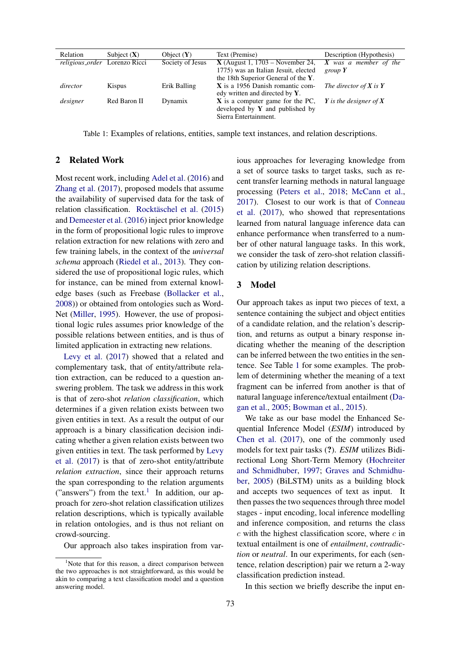<span id="page-1-0"></span>

| Relation | Subject $(X)$                        | Object $(Y)$     | Text (Premise)                       | Description (Hypothesis)   |
|----------|--------------------------------------|------------------|--------------------------------------|----------------------------|
|          | <i>religious_order</i> Lorenzo Ricci | Society of Jesus | $X$ (August 1, 1703 – November 24,   | X was a member of the      |
|          |                                      |                  | 1775) was an Italian Jesuit, elected | group $Y$                  |
|          |                                      |                  | the 18th Superior General of the Y.  |                            |
| director | Kispus                               | Erik Balling     | $X$ is a 1956 Danish romantic com-   | The director of $X$ is $Y$ |
|          |                                      |                  | edy written and directed by $Y$ .    |                            |
| designer | Red Baron II                         | Dynamix          | $X$ is a computer game for the PC,   | Y is the designer of X     |
|          |                                      |                  | developed by $Y$ and published by    |                            |
|          |                                      |                  | Sierra Entertainment.                |                            |

Table 1: Examples of relations, entities, sample text instances, and relation descriptions.

# 2 Related Work

Most recent work, including [Adel et al.](#page-4-0) [\(2016\)](#page-4-0) and [Zhang et al.](#page-6-0) [\(2017\)](#page-6-0), proposed models that assume the availability of supervised data for the task of relation classification. Rocktäschel et al. [\(2015\)](#page-5-4) and [Demeester et al.](#page-5-5) [\(2016\)](#page-5-5) inject prior knowledge in the form of propositional logic rules to improve relation extraction for new relations with zero and few training labels, in the context of the *universal schema* approach [\(Riedel et al.,](#page-5-3) [2013\)](#page-5-3). They considered the use of propositional logic rules, which for instance, can be mined from external knowledge bases (such as Freebase [\(Bollacker et al.,](#page-5-6) [2008\)](#page-5-6)) or obtained from ontologies such as Word-Net [\(Miller,](#page-5-7) [1995\)](#page-5-7). However, the use of propositional logic rules assumes prior knowledge of the possible relations between entities, and is thus of limited application in extracting new relations.

[Levy et al.](#page-5-8) [\(2017\)](#page-5-8) showed that a related and complementary task, that of entity/attribute relation extraction, can be reduced to a question answering problem. The task we address in this work is that of zero-shot *relation classification*, which determines if a given relation exists between two given entities in text. As a result the output of our approach is a binary classification decision indicating whether a given relation exists between two given entities in text. The task performed by [Levy](#page-5-8) [et al.](#page-5-8) [\(2017\)](#page-5-8) is that of zero-shot entity/attribute *relation extraction*, since their approach returns the span corresponding to the relation arguments ("answers") from the text.<sup>[1](#page-1-1)</sup> In addition, our approach for zero-shot relation classification utilizes relation descriptions, which is typically available in relation ontologies, and is thus not reliant on crowd-sourcing.

Our approach also takes inspiration from var-

ious approaches for leveraging knowledge from a set of source tasks to target tasks, such as recent transfer learning methods in natural language processing [\(Peters et al.,](#page-5-9) [2018;](#page-5-9) [McCann et al.,](#page-5-10) [2017\)](#page-5-10). Closest to our work is that of [Conneau](#page-5-11) [et al.](#page-5-11) [\(2017\)](#page-5-11), who showed that representations learned from natural language inference data can enhance performance when transferred to a number of other natural language tasks. In this work, we consider the task of zero-shot relation classification by utilizing relation descriptions.

# 3 Model

Our approach takes as input two pieces of text, a sentence containing the subject and object entities of a candidate relation, and the relation's description, and returns as output a binary response indicating whether the meaning of the description can be inferred between the two entities in the sentence. See Table [1](#page-1-0) for some examples. The problem of determining whether the meaning of a text fragment can be inferred from another is that of natural language inference/textual entailment [\(Da](#page-5-12)[gan et al.,](#page-5-12) [2005;](#page-5-12) [Bowman et al.,](#page-5-13) [2015\)](#page-5-13).

We take as our base model the Enhanced Sequential Inference Model (*ESIM*) introduced by [Chen et al.](#page-5-14) [\(2017\)](#page-5-14), one of the commonly used models for text pair tasks (?). *ESIM* utilizes Bidirectional Long Short-Term Memory [\(Hochreiter](#page-5-15) [and Schmidhuber,](#page-5-15) [1997;](#page-5-15) [Graves and Schmidhu](#page-5-16)[ber,](#page-5-16) [2005\)](#page-5-16) (BiLSTM) units as a building block and accepts two sequences of text as input. It then passes the two sequences through three model stages - input encoding, local inference modelling and inference composition, and returns the class  $c$  with the highest classification score, where  $c$  in textual entailment is one of *entailment*, *contradiction* or *neutral*. In our experiments, for each (sentence, relation description) pair we return a 2-way classification prediction instead.

In this section we briefly describe the input en-

<span id="page-1-1"></span><sup>&</sup>lt;sup>1</sup>Note that for this reason, a direct comparison between the two approaches is not straightforward, as this would be akin to comparing a text classification model and a question answering model.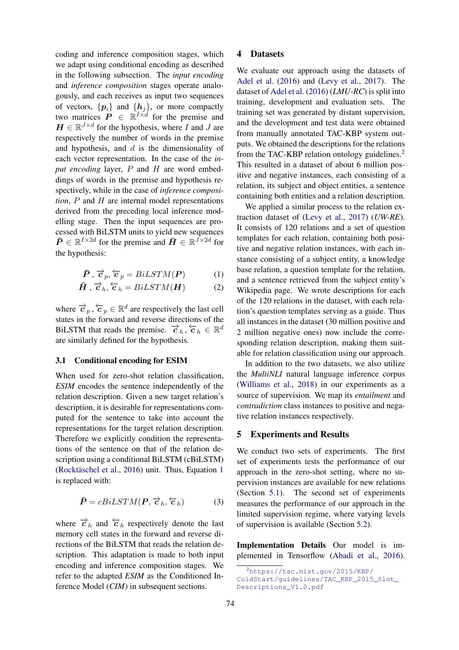coding and inference composition stages, which we adapt using conditional encoding as described in the following subsection. The *input encoding* and *inference composition* stages operate analogously, and each receives as input two sequences of vectors,  $\{p_i\}$  and  $\{h_j\}$ , or more compactly two matrices  $\mathbf{P} \in \mathbb{R}^{I \times d}$  for the premise and  $\boldsymbol{H} \in \mathbb{R}^{J \times d}$  for the hypothesis, where I and J are respectively the number of words in the premise and hypothesis, and  $d$  is the dimensionality of each vector representation. In the case of the *input encoding* layer, P and H are word embeddings of words in the premise and hypothesis respectively, while in the case of *inference composition*, P and H are internal model representations derived from the preceding local inference modelling stage. Then the input sequences are processed with BiLSTM units to yield new sequences  $\bar{\bm{P}} \in \mathbb{R}^{I \times 2d}$  for the premise and  $\bar{\bm{H}} \in \mathbb{R}^{J \times 2d}$  for the hypothesis:

<span id="page-2-0"></span>
$$
\bar{\boldsymbol{P}}, \vec{\boldsymbol{c}}_p, \overleftarrow{\boldsymbol{c}}_p = BilSTM(\boldsymbol{P}) \tag{1}
$$

$$
\bar{H}, \vec{c}_h, \overleftarrow{c}_h = BiLSTM(\bm{H}) \tag{2}
$$

where  $\overrightarrow{c}_p$ ,  $\overleftarrow{c}_p \in \mathbb{R}^d$  are respectively the last cell states in the forward and reverse directions of the BILSTM that reads the premise.  $\overrightarrow{c}_h$ ,  $\overleftarrow{c}_h \in \mathbb{R}^d$ are similarly defined for the hypothesis.

# 3.1 Conditional encoding for ESIM

When used for zero-shot relation classification, *ESIM* encodes the sentence independently of the relation description. Given a new target relation's description, it is desirable for representations computed for the sentence to take into account the representations for the target relation description. Therefore we explicitly condition the representations of the sentence on that of the relation description using a conditional BiLSTM (cBiLSTM) (Rocktäschel et al.,  $2016$  $2016$  $2016$ ) unit. Thus, Equation 1 is replaced with:

$$
\bar{\boldsymbol{P}} = cBiLSTM(\boldsymbol{P}, \vec{\boldsymbol{c}}_h, \vec{\boldsymbol{c}}_h)
$$
 (3)

where  $\vec{c}_h$  and  $\vec{c}_h$  respectively denote the last memory cell states in the forward and reverse directions of the BiLSTM that reads the relation description. This adaptation is made to both input encoding and inference composition stages. We refer to the adapted *ESIM* as the Conditioned Inference Model (*CIM*) in subsequent sections.

### 4 Datasets

We evaluate our approach using the datasets of [Adel et al.](#page-4-0) [\(2016\)](#page-4-0) and [\(Levy et al.,](#page-5-8) [2017\)](#page-5-8). The dataset of [Adel et al.](#page-4-0) [\(2016\)](#page-4-0) (*LMU-RC*) is split into training, development and evaluation sets. The training set was generated by distant supervision, and the development and test data were obtained from manually annotated TAC-KBP system outputs. We obtained the descriptions for the relations from the TAC-KBP relation ontology guidelines.<sup>[2](#page-2-1)</sup> This resulted in a dataset of about 6 million positive and negative instances, each consisting of a relation, its subject and object entities, a sentence containing both entities and a relation description.

We applied a similar process to the relation extraction dataset of [\(Levy et al.,](#page-5-8) [2017\)](#page-5-8) (*UW-RE*). It consists of 120 relations and a set of question templates for each relation, containing both positive and negative relation instances, with each instance consisting of a subject entity, a knowledge base relation, a question template for the relation, and a sentence retrieved from the subject entity's Wikipedia page. We wrote descriptions for each of the 120 relations in the dataset, with each relation's question templates serving as a guide. Thus all instances in the dataset (30 million positive and 2 million negative ones) now include the corresponding relation description, making them suitable for relation classification using our approach.

In addition to the two datasets, we also utilize the *MultiNLI* natural language inference corpus [\(Williams et al.,](#page-5-18) [2018\)](#page-5-18) in our experiments as a source of supervision. We map its *entailment* and *contradiction* class instances to positive and negative relation instances respectively.

#### 5 Experiments and Results

We conduct two sets of experiments. The first set of experiments tests the performance of our approach in the zero-shot setting, where no supervision instances are available for new relations (Section [5.1\)](#page-3-0). The second set of experiments measures the performance of our approach in the limited supervision regime, where varying levels of supervision is available (Section [5.2\)](#page-3-1).

Implementation Details Our model is implemented in Tensorflow [\(Abadi et al.,](#page-4-1) [2016\)](#page-4-1).

<span id="page-2-1"></span> $^{2}$ [https://tac.nist.gov/2015/KBP/](https://tac.nist.gov/2015/KBP/ColdStart/guidelines/TAC_KBP_2015_Slot_Descriptions_V1.0.pdf) [ColdStart/guidelines/TAC\\_KBP\\_2015\\_Slot\\_](https://tac.nist.gov/2015/KBP/ColdStart/guidelines/TAC_KBP_2015_Slot_Descriptions_V1.0.pdf) [Descriptions\\_V1.0.pdf](https://tac.nist.gov/2015/KBP/ColdStart/guidelines/TAC_KBP_2015_Slot_Descriptions_V1.0.pdf)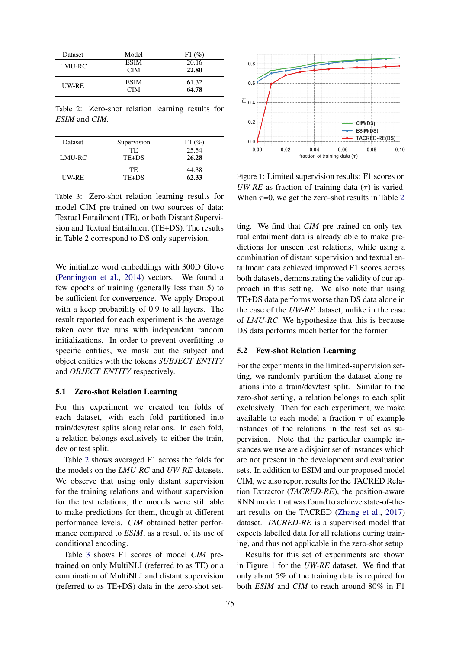<span id="page-3-2"></span>

| <b>Dataset</b> | Model       | $F1(\%)$ |
|----------------|-------------|----------|
| LMU-RC         | <b>ESIM</b> | 20.16    |
|                | <b>CIM</b>  | 22.80    |
| UW-RE          | <b>ESIM</b> | 61.32    |
|                | <b>CIM</b>  | 64.78    |

Table 2: Zero-shot relation learning results for *ESIM* and *CIM*.

<span id="page-3-3"></span>

| <b>Dataset</b> | Supervision | $F1(\%)$ |
|----------------|-------------|----------|
|                | TE.         | 25.54    |
| LMU-RC         | TE+DS       | 26.28    |
|                | TE.         | 44.38    |
| UW-RE          | TE+DS       | 62.33    |

Table 3: Zero-shot relation learning results for model CIM pre-trained on two sources of data: Textual Entailment (TE), or both Distant Supervision and Textual Entailment (TE+DS). The results in Table 2 correspond to DS only supervision.

We initialize word embeddings with 300D Glove [\(Pennington et al.,](#page-5-19) [2014\)](#page-5-19) vectors. We found a few epochs of training (generally less than 5) to be sufficient for convergence. We apply Dropout with a keep probability of 0.9 to all layers. The result reported for each experiment is the average taken over five runs with independent random initializations. In order to prevent overfitting to specific entities, we mask out the subject and object entities with the tokens *SUBJECT ENTITY* and *OBJECT ENTITY* respectively.

# <span id="page-3-0"></span>5.1 Zero-shot Relation Learning

For this experiment we created ten folds of each dataset, with each fold partitioned into train/dev/test splits along relations. In each fold, a relation belongs exclusively to either the train, dev or test split.

Table [2](#page-3-2) shows averaged F1 across the folds for the models on the *LMU-RC* and *UW-RE* datasets. We observe that using only distant supervision for the training relations and without supervision for the test relations, the models were still able to make predictions for them, though at different performance levels. *CIM* obtained better performance compared to *ESIM*, as a result of its use of conditional encoding.

Table [3](#page-3-3) shows F1 scores of model *CIM* pretrained on only MultiNLI (referred to as TE) or a combination of MultiNLI and distant supervision (referred to as TE+DS) data in the zero-shot set-

<span id="page-3-4"></span>

Figure 1: Limited supervision results: F1 scores on *UW-RE* as fraction of training data  $(\tau)$  is varied. When  $\tau=0$ , we get the zero-shot results in Table [2](#page-3-2)

ting. We find that *CIM* pre-trained on only textual entailment data is already able to make predictions for unseen test relations, while using a combination of distant supervision and textual entailment data achieved improved F1 scores across both datasets, demonstrating the validity of our approach in this setting. We also note that using TE+DS data performs worse than DS data alone in the case of the *UW-RE* dataset, unlike in the case of *LMU-RC*. We hypothesize that this is because DS data performs much better for the former.

# <span id="page-3-1"></span>5.2 Few-shot Relation Learning

For the experiments in the limited-supervision setting, we randomly partition the dataset along relations into a train/dev/test split. Similar to the zero-shot setting, a relation belongs to each split exclusively. Then for each experiment, we make available to each model a fraction  $\tau$  of example instances of the relations in the test set as supervision. Note that the particular example instances we use are a disjoint set of instances which are not present in the development and evaluation sets. In addition to ESIM and our proposed model CIM, we also report results for the TACRED Relation Extractor (*TACRED-RE*), the position-aware RNN model that was found to achieve state-of-theart results on the TACRED [\(Zhang et al.,](#page-6-0) [2017\)](#page-6-0) dataset. *TACRED-RE* is a supervised model that expects labelled data for all relations during training, and thus not applicable in the zero-shot setup.

Results for this set of experiments are shown in Figure [1](#page-3-4) for the *UW-RE* dataset. We find that only about 5% of the training data is required for both *ESIM* and *CIM* to reach around 80% in F1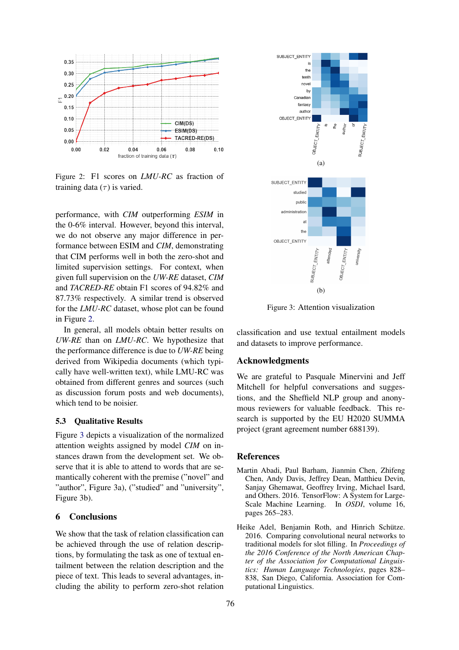<span id="page-4-2"></span>

Figure 2: F1 scores on *LMU-RC* as fraction of training data  $(\tau)$  is varied.

performance, with *CIM* outperforming *ESIM* in the 0-6% interval. However, beyond this interval, we do not observe any major difference in performance between ESIM and *CIM*, demonstrating that CIM performs well in both the zero-shot and limited supervision settings. For context, when given full supervision on the *UW-RE* dataset, *CIM* and *TACRED-RE* obtain F1 scores of 94.82% and 87.73% respectively. A similar trend is observed for the *LMU-RC* dataset, whose plot can be found in Figure [2.](#page-4-2)

In general, all models obtain better results on *UW-RE* than on *LMU-RC*. We hypothesize that the performance difference is due to *UW-RE* being derived from Wikipedia documents (which typically have well-written text), while LMU-RC was obtained from different genres and sources (such as discussion forum posts and web documents), which tend to be noisier.

### 5.3 Qualitative Results

Figure [3](#page-4-3) depicts a visualization of the normalized attention weights assigned by model *CIM* on instances drawn from the development set. We observe that it is able to attend to words that are semantically coherent with the premise ("novel" and "author", Figure 3a), ("studied" and "university", Figure 3b).

# 6 Conclusions

We show that the task of relation classification can be achieved through the use of relation descriptions, by formulating the task as one of textual entailment between the relation description and the piece of text. This leads to several advantages, including the ability to perform zero-shot relation

<span id="page-4-3"></span>

Figure 3: Attention visualization

classification and use textual entailment models and datasets to improve performance.

# Acknowledgments

We are grateful to Pasquale Minervini and Jeff Mitchell for helpful conversations and suggestions, and the Sheffield NLP group and anonymous reviewers for valuable feedback. This research is supported by the EU H2020 SUMMA project (grant agreement number 688139).

### **References**

- <span id="page-4-1"></span>Martin Abadi, Paul Barham, Jianmin Chen, Zhifeng Chen, Andy Davis, Jeffrey Dean, Matthieu Devin, Sanjay Ghemawat, Geoffrey Irving, Michael Isard, and Others. 2016. TensorFlow: A System for Large-Scale Machine Learning. In *OSDI*, volume 16, pages 265–283.
- <span id="page-4-0"></span>Heike Adel, Benjamin Roth, and Hinrich Schütze. 2016. Comparing convolutional neural networks to traditional models for slot filling. In *Proceedings of the 2016 Conference of the North American Chapter of the Association for Computational Linguistics: Human Language Technologies*, pages 828– 838, San Diego, California. Association for Computational Linguistics.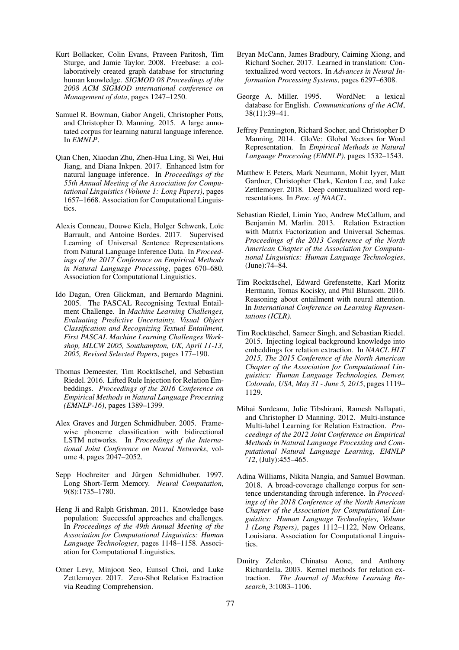- <span id="page-5-6"></span>Kurt Bollacker, Colin Evans, Praveen Paritosh, Tim Sturge, and Jamie Taylor. 2008. Freebase: a collaboratively created graph database for structuring human knowledge. *SIGMOD 08 Proceedings of the 2008 ACM SIGMOD international conference on Management of data*, pages 1247–1250.
- <span id="page-5-13"></span>Samuel R. Bowman, Gabor Angeli, Christopher Potts, and Christopher D. Manning. 2015. A large annotated corpus for learning natural language inference. In *EMNLP*.
- <span id="page-5-14"></span>Qian Chen, Xiaodan Zhu, Zhen-Hua Ling, Si Wei, Hui Jiang, and Diana Inkpen. 2017. Enhanced lstm for natural language inference. In *Proceedings of the 55th Annual Meeting of the Association for Computational Linguistics (Volume 1: Long Papers)*, pages 1657–1668. Association for Computational Linguistics.
- <span id="page-5-11"></span>Alexis Conneau, Douwe Kiela, Holger Schwenk, Loïc Barrault, and Antoine Bordes. 2017. Supervised Learning of Universal Sentence Representations from Natural Language Inference Data. In *Proceedings of the 2017 Conference on Empirical Methods in Natural Language Processing*, pages 670–680. Association for Computational Linguistics.
- <span id="page-5-12"></span>Ido Dagan, Oren Glickman, and Bernardo Magnini. 2005. The PASCAL Recognising Textual Entailment Challenge. In *Machine Learning Challenges, Evaluating Predictive Uncertainty, Visual Object Classification and Recognizing Textual Entailment, First PASCAL Machine Learning Challenges Workshop, MLCW 2005, Southampton, UK, April 11-13, 2005, Revised Selected Papers*, pages 177–190.
- <span id="page-5-5"></span>Thomas Demeester, Tim Rocktäschel, and Sebastian Riedel. 2016. Lifted Rule Injection for Relation Embeddings. *Proceedings of the 2016 Conference on Empirical Methods in Natural Language Processing (EMNLP-16)*, pages 1389–1399.
- <span id="page-5-16"></span>Alex Graves and Jürgen Schmidhuber. 2005. Framewise phoneme classification with bidirectional LSTM networks. In *Proceedings of the International Joint Conference on Neural Networks*, volume 4, pages 2047–2052.
- <span id="page-5-15"></span>Sepp Hochreiter and Jürgen Schmidhuber. 1997. Long Short-Term Memory. *Neural Computation*, 9(8):1735–1780.
- <span id="page-5-0"></span>Heng Ji and Ralph Grishman. 2011. Knowledge base population: Successful approaches and challenges. In *Proceedings of the 49th Annual Meeting of the Association for Computational Linguistics: Human Language Technologies*, pages 1148–1158. Association for Computational Linguistics.
- <span id="page-5-8"></span>Omer Levy, Minjoon Seo, Eunsol Choi, and Luke Zettlemoyer. 2017. Zero-Shot Relation Extraction via Reading Comprehension.
- <span id="page-5-10"></span>Bryan McCann, James Bradbury, Caiming Xiong, and Richard Socher. 2017. Learned in translation: Contextualized word vectors. In *Advances in Neural Information Processing Systems*, pages 6297–6308.
- <span id="page-5-7"></span>George A. Miller. 1995. WordNet: a lexical database for English. *Communications of the ACM*, 38(11):39–41.
- <span id="page-5-19"></span>Jeffrey Pennington, Richard Socher, and Christopher D Manning. 2014. GloVe: Global Vectors for Word Representation. In *Empirical Methods in Natural Language Processing (EMNLP)*, pages 1532–1543.
- <span id="page-5-9"></span>Matthew E Peters, Mark Neumann, Mohit Iyyer, Matt Gardner, Christopher Clark, Kenton Lee, and Luke Zettlemoyer. 2018. Deep contextualized word representations. In *Proc. of NAACL*.
- <span id="page-5-3"></span>Sebastian Riedel, Limin Yao, Andrew McCallum, and Benjamin M. Marlin. 2013. Relation Extraction with Matrix Factorization and Universal Schemas. *Proceedings of the 2013 Conference of the North American Chapter of the Association for Computational Linguistics: Human Language Technologies*, (June):74–84.
- <span id="page-5-17"></span>Tim Rocktäschel, Edward Grefenstette, Karl Moritz Hermann, Tomas Kocisky, and Phil Blunsom. 2016. Reasoning about entailment with neural attention. In *International Conference on Learning Representations (ICLR)*.
- <span id="page-5-4"></span>Tim Rocktäschel, Sameer Singh, and Sebastian Riedel. 2015. Injecting logical background knowledge into embeddings for relation extraction. In *NAACL HLT 2015, The 2015 Conference of the North American Chapter of the Association for Computational Linguistics: Human Language Technologies, Denver, Colorado, USA, May 31 - June 5, 2015*, pages 1119– 1129.
- <span id="page-5-2"></span>Mihai Surdeanu, Julie Tibshirani, Ramesh Nallapati, and Christopher D Manning. 2012. Multi-instance Multi-label Learning for Relation Extraction. *Proceedings of the 2012 Joint Conference on Empirical Methods in Natural Language Processing and Computational Natural Language Learning, EMNLP '12*, (July):455–465.
- <span id="page-5-18"></span>Adina Williams, Nikita Nangia, and Samuel Bowman. 2018. A broad-coverage challenge corpus for sentence understanding through inference. In *Proceedings of the 2018 Conference of the North American Chapter of the Association for Computational Linguistics: Human Language Technologies, Volume 1 (Long Papers)*, pages 1112–1122, New Orleans, Louisiana. Association for Computational Linguistics.
- <span id="page-5-1"></span>Dmitry Zelenko, Chinatsu Aone, and Anthony Richardella. 2003. Kernel methods for relation extraction. *The Journal of Machine Learning Research*, 3:1083–1106.